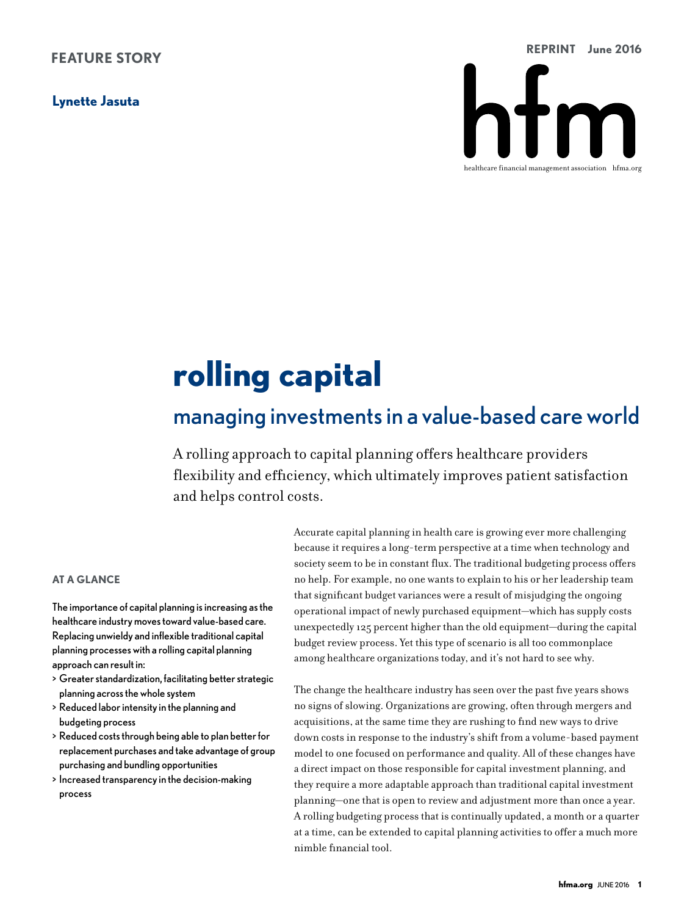**Lynette Jasuta**



# **rolling capital**

# managing investments in a value-based care world

A rolling approach to capital planning offers healthcare providers flexibility and efficiency, which ultimately improves patient satisfaction and helps control costs.

# **AT A GLANCE**

The importance of capital planning is increasing as the healthcare industry moves toward value-based care. Replacing unwieldy and inflexible traditional capital planning processes with a rolling capital planning approach can result in:

- > Greater standardization, facilitating better strategic planning across the whole system
- > Reduced labor intensity in the planning and budgeting process
- > Reduced costs through being able to plan better for replacement purchases and take advantage of group purchasing and bundling opportunities
- > Increased transparency in the decision-making process

Accurate capital planning in health care is growing ever more challenging because it requires a long-term perspective at a time when technology and society seem to be in constant flux. The traditional budgeting process offers no help. For example, no one wants to explain to his or her leadership team that significant budget variances were a result of misjudging the ongoing operational impact of newly purchased equipment—which has supply costs unexpectedly 125 percent higher than the old equipment—during the capital budget review process. Yet this type of scenario is all too commonplace among healthcare organizations today, and it's not hard to see why.

The change the healthcare industry has seen over the past five years shows no signs of slowing. Organizations are growing, often through mergers and acquisitions, at the same time they are rushing to find new ways to drive down costs in response to the industry's shift from a volume-based payment model to one focused on performance and quality. All of these changes have a direct impact on those responsible for capital investment planning, and they require a more adaptable approach than traditional capital investment planning—one that is open to review and adjustment more than once a year. A rolling budgeting process that is continually updated, a month or a quarter at a time, can be extended to capital planning activities to offer a much more nimble financial tool.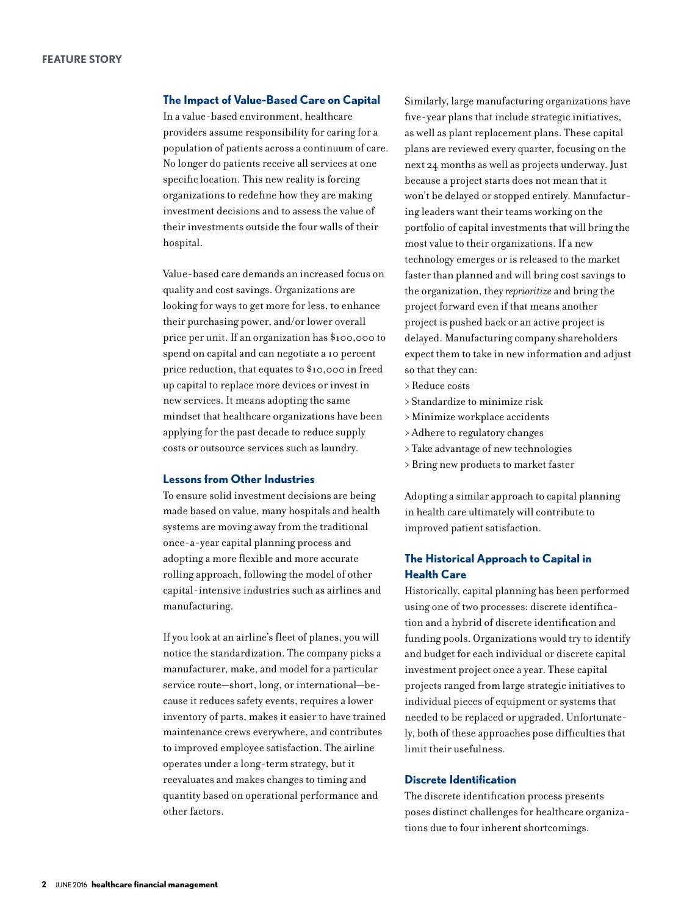#### **The Impact of Value-Based Care on Capital**

In a value-based environment, healthcare providers assume responsibility for caring for a population of patients across a continuum of care. No longer do patients receive all services at one specific location. This new reality is forcing organizations to redefine how they are making investment decisions and to assess the value of their investments outside the four walls of their hospital.

Value-based care demands an increased focus on quality and cost savings. Organizations are looking for ways to get more for less, to enhance their purchasing power, and/or lower overall price per unit. If an organization has \$100,000 to spend on capital and can negotiate a 10 percent price reduction, that equates to \$10,000 in freed up capital to replace more devices or invest in new services. It means adopting the same mindset that healthcare organizations have been applying for the past decade to reduce supply costs or outsource services such as laundry.

#### **Lessons from Other Industries**

To ensure solid investment decisions are being made based on value, many hospitals and health systems are moving away from the traditional once-a-year capital planning process and adopting a more flexible and more accurate rolling approach, following the model of other capital-intensive industries such as airlines and manufacturing.

If you look at an airline's fleet of planes, you will notice the standardization. The company picks a manufacturer, make, and model for a particular service route—short, long, or international—because it reduces safety events, requires a lower inventory of parts, makes it easier to have trained maintenance crews everywhere, and contributes to improved employee satisfaction. The airline operates under a long-term strategy, but it reevaluates and makes changes to timing and quantity based on operational performance and other factors.

Similarly, large manufacturing organizations have five-year plans that include strategic initiatives, as well as plant replacement plans. These capital plans are reviewed every quarter, focusing on the next 24 months as well as projects underway. Just because a project starts does not mean that it won't be delayed or stopped entirely. Manufacturing leaders want their teams working on the portfolio of capital investments that will bring the most value to their organizations. If a new technology emerges or is released to the market faster than planned and will bring cost savings to the organization, they *reprioritize* and bring the project forward even if that means another project is pushed back or an active project is delayed. Manufacturing company shareholders expect them to take in new information and adjust so that they can:

- > Reduce costs
- > Standardize to minimize risk
- > Minimize workplace accidents
- > Adhere to regulatory changes
- > Take advantage of new technologies
- > Bring new products to market faster

Adopting a similar approach to capital planning in health care ultimately will contribute to improved patient satisfaction.

# **The Historical Approach to Capital in Health Care**

Historically, capital planning has been performed using one of two processes: discrete identification and a hybrid of discrete identification and funding pools. Organizations would try to identify and budget for each individual or discrete capital investment project once a year. These capital projects ranged from large strategic initiatives to individual pieces of equipment or systems that needed to be replaced or upgraded. Unfortunately, both of these approaches pose difficulties that limit their usefulness.

#### **Discrete Identification**

The discrete identification process presents poses distinct challenges for healthcare organizations due to four inherent shortcomings.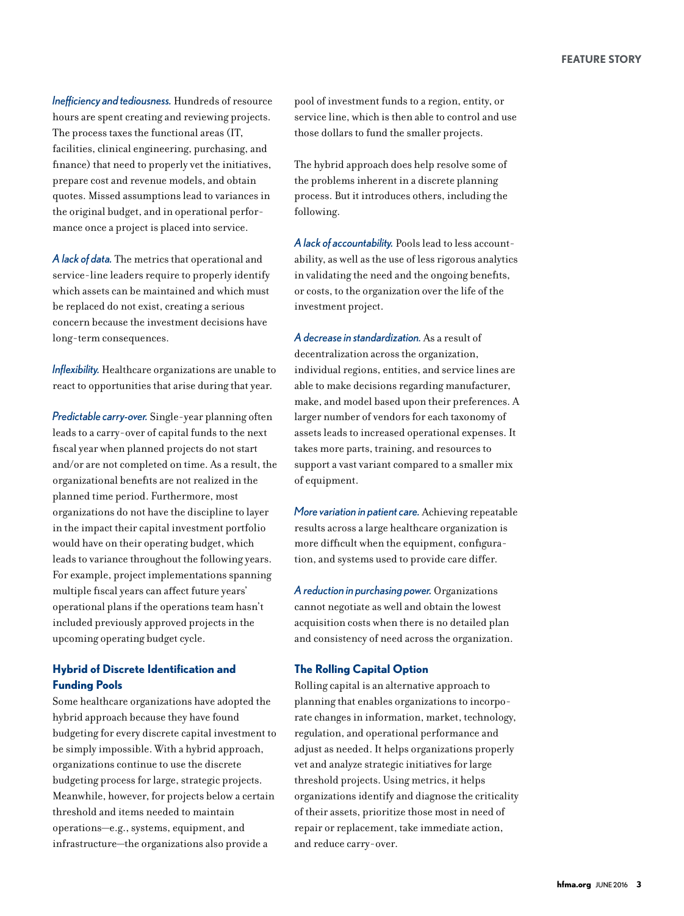*Inefficiency and tediousness.* Hundreds of resource hours are spent creating and reviewing projects. The process taxes the functional areas (IT, facilities, clinical engineering, purchasing, and finance) that need to properly vet the initiatives, prepare cost and revenue models, and obtain quotes. Missed assumptions lead to variances in the original budget, and in operational performance once a project is placed into service.

*A lack of data.* The metrics that operational and service-line leaders require to properly identify which assets can be maintained and which must be replaced do not exist, creating a serious concern because the investment decisions have long-term consequences.

*Inflexibility.* Healthcare organizations are unable to react to opportunities that arise during that year.

*Predictable carry-over.* Single-year planning often leads to a carry-over of capital funds to the next fiscal year when planned projects do not start and/or are not completed on time. As a result, the organizational benefits are not realized in the planned time period. Furthermore, most organizations do not have the discipline to layer in the impact their capital investment portfolio would have on their operating budget, which leads to variance throughout the following years. For example, project implementations spanning multiple fiscal years can affect future years' operational plans if the operations team hasn't included previously approved projects in the upcoming operating budget cycle.

# **Hybrid of Discrete Identification and Funding Pools**

Some healthcare organizations have adopted the hybrid approach because they have found budgeting for every discrete capital investment to be simply impossible. With a hybrid approach, organizations continue to use the discrete budgeting process for large, strategic projects. Meanwhile, however, for projects below a certain threshold and items needed to maintain operations—e.g., systems, equipment, and infrastructure—the organizations also provide a

pool of investment funds to a region, entity, or service line, which is then able to control and use those dollars to fund the smaller projects.

The hybrid approach does help resolve some of the problems inherent in a discrete planning process. But it introduces others, including the following.

*A lack of accountability.* Pools lead to less accountability, as well as the use of less rigorous analytics in validating the need and the ongoing benefits, or costs, to the organization over the life of the investment project.

*A decrease in standardization.* As a result of decentralization across the organization, individual regions, entities, and service lines are able to make decisions regarding manufacturer, make, and model based upon their preferences. A larger number of vendors for each taxonomy of assets leads to increased operational expenses. It takes more parts, training, and resources to support a vast variant compared to a smaller mix of equipment.

*More variation in patient care.* Achieving repeatable results across a large healthcare organization is more difficult when the equipment, configuration, and systems used to provide care differ.

*A reduction in purchasing power.* Organizations cannot negotiate as well and obtain the lowest acquisition costs when there is no detailed plan and consistency of need across the organization.

#### **The Rolling Capital Option**

Rolling capital is an alternative approach to planning that enables organizations to incorporate changes in information, market, technology, regulation, and operational performance and adjust as needed. It helps organizations properly vet and analyze strategic initiatives for large threshold projects. Using metrics, it helps organizations identify and diagnose the criticality of their assets, prioritize those most in need of repair or replacement, take immediate action, and reduce carry-over.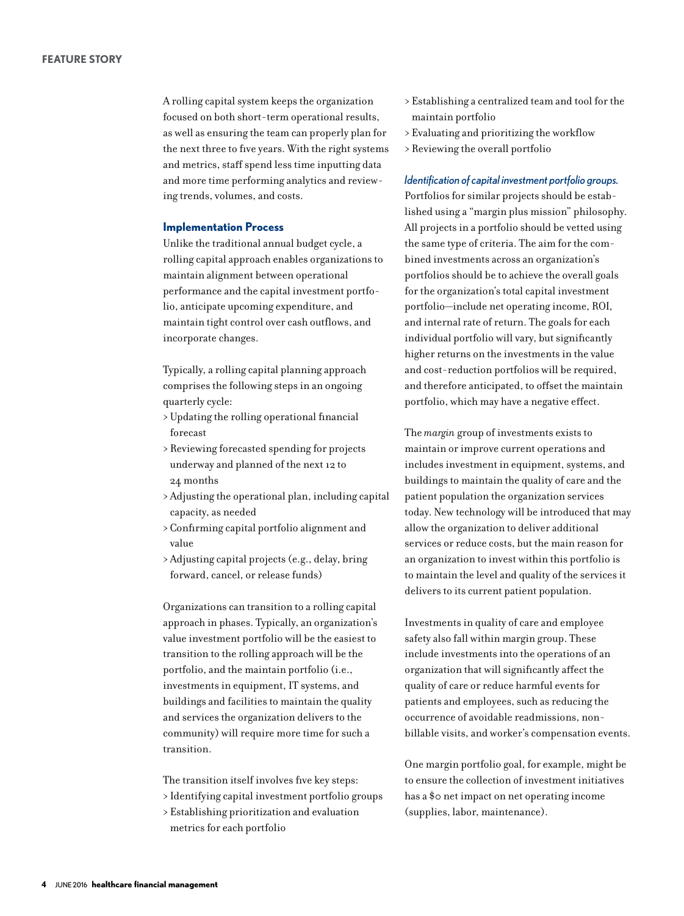#### **FEATURE STORY**

A rolling capital system keeps the organization focused on both short-term operational results, as well as ensuring the team can properly plan for the next three to five years. With the right systems and metrics, staff spend less time inputting data and more time performing analytics and reviewing trends, volumes, and costs.

#### **Implementation Process**

Unlike the traditional annual budget cycle, a rolling capital approach enables organizations to maintain alignment between operational performance and the capital investment portfolio, anticipate upcoming expenditure, and maintain tight control over cash outflows, and incorporate changes.

Typically, a rolling capital planning approach comprises the following steps in an ongoing quarterly cycle:

- >Updating the rolling operational financial forecast
- > Reviewing forecasted spending for projects underway and planned of the next 12 to 24 months
- > Adjusting the operational plan, including capital capacity, as needed
- > Confirming capital portfolio alignment and value
- > Adjusting capital projects (e.g., delay, bring forward, cancel, or release funds)

Organizations can transition to a rolling capital approach in phases. Typically, an organization's value investment portfolio will be the easiest to transition to the rolling approach will be the portfolio, and the maintain portfolio (i.e., investments in equipment, IT systems, and buildings and facilities to maintain the quality and services the organization delivers to the community) will require more time for such a transition.

The transition itself involves five key steps:

- > Identifying capital investment portfolio groups
- > Establishing prioritization and evaluation metrics for each portfolio
- > Establishing a centralized team and tool for the maintain portfolio
- > Evaluating and prioritizing the workflow
- > Reviewing the overall portfolio

#### *Identification of capital investment portfolio groups.*

Portfolios for similar projects should be established using a "margin plus mission" philosophy. All projects in a portfolio should be vetted using the same type of criteria. The aim for the combined investments across an organization's portfolios should be to achieve the overall goals for the organization's total capital investment portfolio—include net operating income, ROI, and internal rate of return. The goals for each individual portfolio will vary, but significantly higher returns on the investments in the value and cost-reduction portfolios will be required, and therefore anticipated, to offset the maintain portfolio, which may have a negative effect.

The *margin* group of investments exists to maintain or improve current operations and includes investment in equipment, systems, and buildings to maintain the quality of care and the patient population the organization services today. New technology will be introduced that may allow the organization to deliver additional services or reduce costs, but the main reason for an organization to invest within this portfolio is to maintain the level and quality of the services it delivers to its current patient population.

Investments in quality of care and employee safety also fall within margin group. These include investments into the operations of an organization that will significantly affect the quality of care or reduce harmful events for patients and employees, such as reducing the occurrence of avoidable readmissions, nonbillable visits, and worker's compensation events.

One margin portfolio goal, for example, might be to ensure the collection of investment initiatives has a \$0 net impact on net operating income (supplies, labor, maintenance).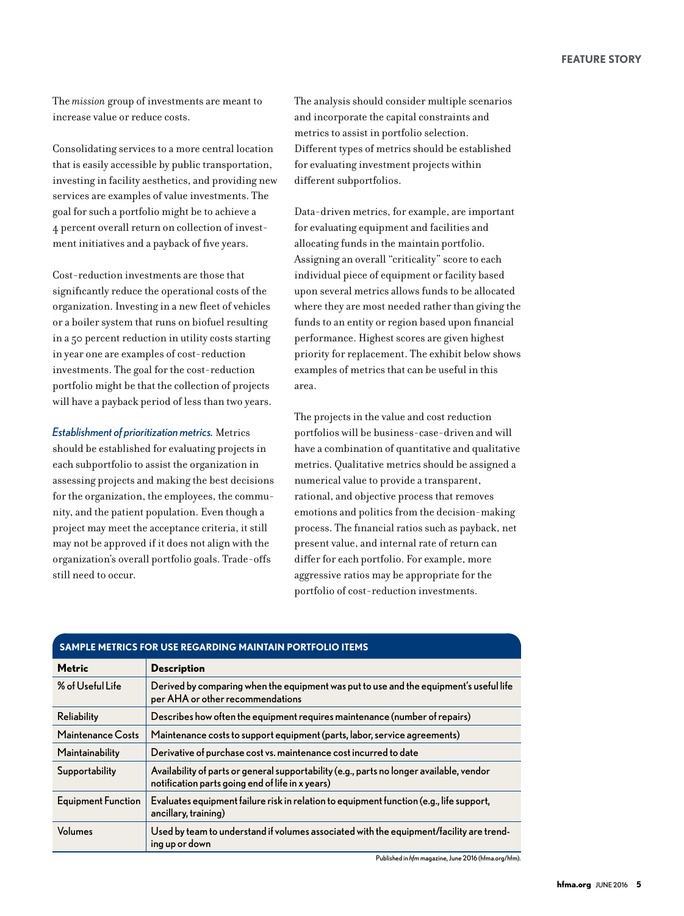The *mission* group of investments are meant to increase value or reduce costs.

Consolidating services to a more central location that is easily accessible by public transportation, investing in facility aesthetics, and providing new services are examples of value investments. The goal for such a portfolio might be to achieve a 4 percent overall return on collection of investment initiatives and a payback of five years.

Cost-reduction investments are those that significantly reduce the operational costs of the organization. Investing in a new fleet of vehicles or a boiler system that runs on biofuel resulting in a 50 percent reduction in utility costs starting in year one are examples of cost-reduction investments. The goal for the cost-reduction portfolio might be that the collection of projects will have a payback period of less than two years.

*Establishment of prioritization metrics.* Metrics should be established for evaluating projects in each subportfolio to assist the organization in assessing projects and making the best decisions for the organization, the employees, the community, and the patient population. Even though a project may meet the acceptance criteria, it still may not be approved if it does not align with the organization's overall portfolio goals. Trade-offs still need to occur.

The analysis should consider multiple scenarios and incorporate the capital constraints and metrics to assist in portfolio selection. Different types of metrics should be established for evaluating investment projects within different subportfolios.

Data-driven metrics, for example, are important for evaluating equipment and facilities and allocating funds in the maintain portfolio. Assigning an overall "criticality" score to each individual piece of equipment or facility based upon several metrics allows funds to be allocated where they are most needed rather than giving the funds to an entity or region based upon financial performance. Highest scores are given highest priority for replacement. The exhibit below shows examples of metrics that can be useful in this area.

The projects in the value and cost reduction portfolios will be business-case-driven and will have a combination of quantitative and qualitative metrics. Qualitative metrics should be assigned a numerical value to provide a transparent, rational, and objective process that removes emotions and politics from the decision-making process. The financial ratios such as payback, net present value, and internal rate of return can differ for each portfolio. For example, more aggressive ratios may be appropriate for the portfolio of cost-reduction investments.

| <b>SAMPLE METRICS FOR USE REGARDING MAINTAIN PORTFOLIO ITEMS</b> |                                                                                                                                              |
|------------------------------------------------------------------|----------------------------------------------------------------------------------------------------------------------------------------------|
| Metric                                                           | <b>Description</b>                                                                                                                           |
| % of Useful Life                                                 | Derived by comparing when the equipment was put to use and the equipment's useful life<br>per AHA or other recommendations                   |
| Reliability                                                      | Describes how often the equipment requires maintenance (number of repairs)                                                                   |
| Maintenance Costs                                                | Maintenance costs to support equipment (parts, labor, service agreements)                                                                    |
| Maintainability                                                  | Derivative of purchase cost vs. maintenance cost incurred to date                                                                            |
| Supportability                                                   | Availability of parts or general supportability (e.g., parts no longer available, vendor<br>notification parts going end of life in x years) |
| Equipment Function                                               | Evaluates equipment failure risk in relation to equipment function (e.g., life support,<br>ancillary, training)                              |
| Volumes                                                          | Used by team to understand if volumes associated with the equipment/facility are trend-<br>ing up or down                                    |

Published in *hfm* magazine, June 2016 (hfma.org/hfm).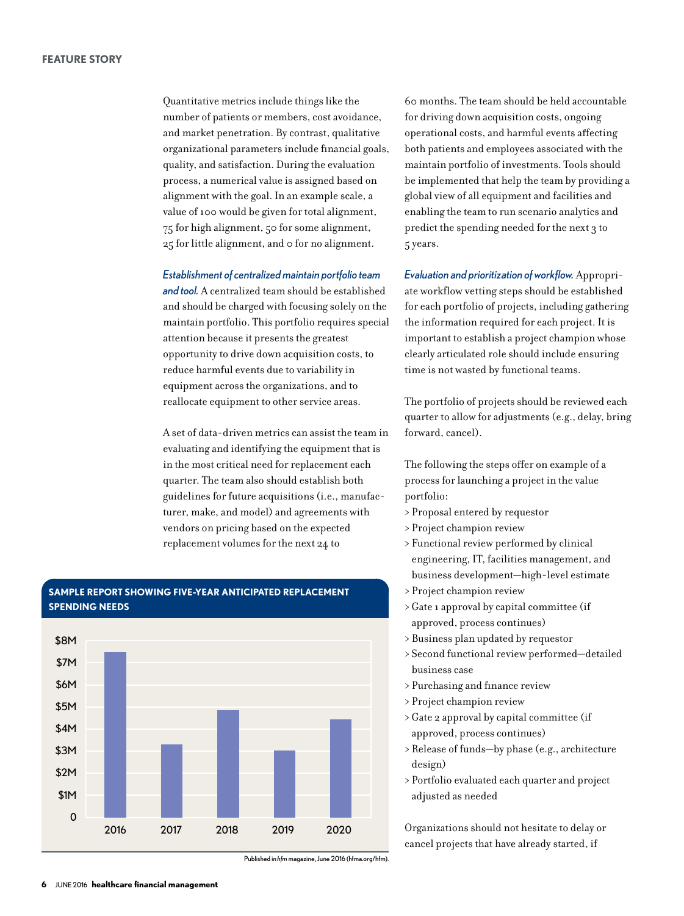Quantitative metrics include things like the number of patients or members, cost avoidance, and market penetration. By contrast, qualitative organizational parameters include financial goals, quality, and satisfaction. During the evaluation process, a numerical value is assigned based on alignment with the goal. In an example scale, a value of 100 would be given for total alignment, 75 for high alignment, 50 for some alignment, 25 for little alignment, and 0 for no alignment.

#### *Establishment of centralized maintain portfolio team*

*and tool.* A centralized team should be established and should be charged with focusing solely on the maintain portfolio. This portfolio requires special attention because it presents the greatest opportunity to drive down acquisition costs, to reduce harmful events due to variability in equipment across the organizations, and to reallocate equipment to other service areas.

A set of data-driven metrics can assist the team in evaluating and identifying the equipment that is in the most critical need for replacement each quarter. The team also should establish both guidelines for future acquisitions (i.e., manufacturer, make, and model) and agreements with vendors on pricing based on the expected replacement volumes for the next 24 to



# **SAMPLE REPORT SHOWING FIVE-YEAR ANTICIPATED REPLACEMENT SPENDING NEEDS**

60 months. The team should be held accountable for driving down acquisition costs, ongoing operational costs, and harmful events affecting both patients and employees associated with the maintain portfolio of investments. Tools should be implemented that help the team by providing a global view of all equipment and facilities and enabling the team to run scenario analytics and predict the spending needed for the next 3 to 5 years.

*Evaluation and prioritization of workflow.* Appropriate workflow vetting steps should be established for each portfolio of projects, including gathering the information required for each project. It is important to establish a project champion whose clearly articulated role should include ensuring time is not wasted by functional teams.

The portfolio of projects should be reviewed each quarter to allow for adjustments (e.g., delay, bring forward, cancel).

The following the steps offer on example of a process for launching a project in the value portfolio:

- > Proposal entered by requestor
- > Project champion review
- > Functional review performed by clinical engineering, IT, facilities management, and business development—high-level estimate
- > Project champion review
- >Gate 1 approval by capital committee (if approved, process continues)
- > Business plan updated by requestor
- > Second functional review performed—detailed business case
- > Purchasing and finance review
- > Project champion review
- >Gate 2 approval by capital committee (if approved, process continues)
- > Release of funds—by phase (e.g., architecture design)
- > Portfolio evaluated each quarter and project adjusted as needed

Organizations should not hesitate to delay or cancel projects that have already started, if

Published in *hfm* magazine, June 2016 (hfma.org/hfm).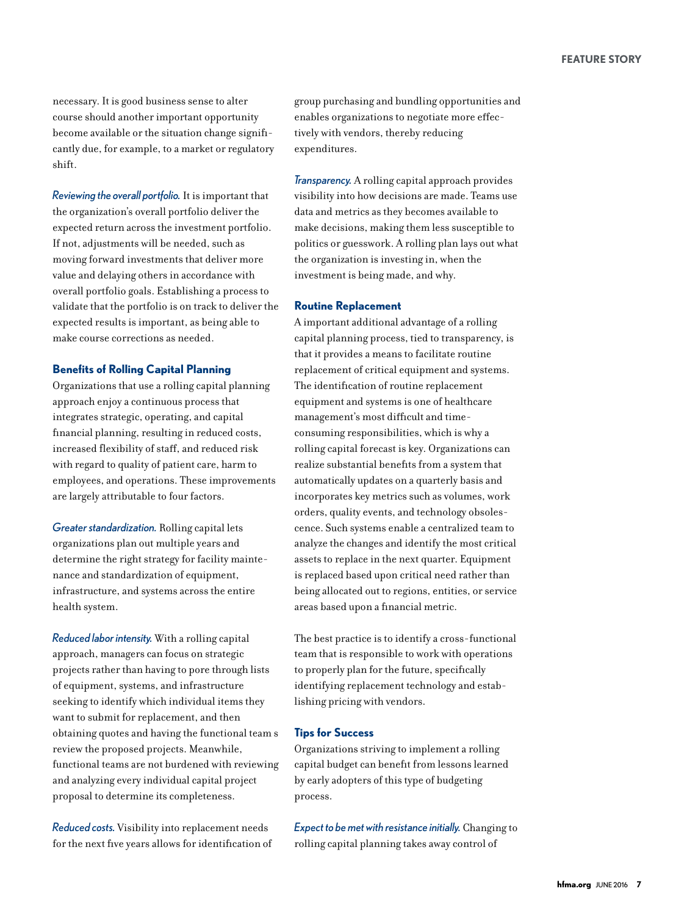necessary. It is good business sense to alter course should another important opportunity become available or the situation change significantly due, for example, to a market or regulatory shift.

*Reviewing the overall portfolio.* It is important that the organization's overall portfolio deliver the expected return across the investment portfolio. If not, adjustments will be needed, such as moving forward investments that deliver more value and delaying others in accordance with overall portfolio goals. Establishing a process to validate that the portfolio is on track to deliver the expected results is important, as being able to make course corrections as needed.

# **Benefits of Rolling Capital Planning**

Organizations that use a rolling capital planning approach enjoy a continuous process that integrates strategic, operating, and capital financial planning, resulting in reduced costs, increased flexibility of staff, and reduced risk with regard to quality of patient care, harm to employees, and operations. These improvements are largely attributable to four factors.

*Greater standardization.* Rolling capital lets organizations plan out multiple years and determine the right strategy for facility maintenance and standardization of equipment, infrastructure, and systems across the entire health system.

*Reduced labor intensity.* With a rolling capital approach, managers can focus on strategic projects rather than having to pore through lists of equipment, systems, and infrastructure seeking to identify which individual items they want to submit for replacement, and then obtaining quotes and having the functional team s review the proposed projects. Meanwhile, functional teams are not burdened with reviewing and analyzing every individual capital project proposal to determine its completeness.

*Reduced costs.* Visibility into replacement needs for the next five years allows for identification of group purchasing and bundling opportunities and enables organizations to negotiate more effectively with vendors, thereby reducing expenditures.

*Transparency.* A rolling capital approach provides visibility into how decisions are made. Teams use data and metrics as they becomes available to make decisions, making them less susceptible to politics or guesswork. A rolling plan lays out what the organization is investing in, when the investment is being made, and why.

#### **Routine Replacement**

A important additional advantage of a rolling capital planning process, tied to transparency, is that it provides a means to facilitate routine replacement of critical equipment and systems. The identification of routine replacement equipment and systems is one of healthcare management's most difficult and timeconsuming responsibilities, which is why a rolling capital forecast is key. Organizations can realize substantial benefits from a system that automatically updates on a quarterly basis and incorporates key metrics such as volumes, work orders, quality events, and technology obsolescence. Such systems enable a centralized team to analyze the changes and identify the most critical assets to replace in the next quarter. Equipment is replaced based upon critical need rather than being allocated out to regions, entities, or service areas based upon a financial metric.

The best practice is to identify a cross-functional team that is responsible to work with operations to properly plan for the future, specifically identifying replacement technology and establishing pricing with vendors.

#### **Tips for Success**

Organizations striving to implement a rolling capital budget can benefit from lessons learned by early adopters of this type of budgeting process.

*Expect to be met with resistance initially.* Changing to rolling capital planning takes away control of